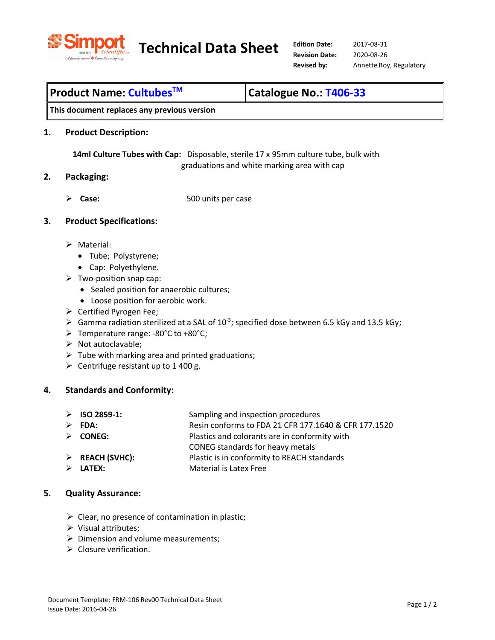

**Technical Data Sheet Edition Date:** 

**Revision Date:**  2017-08-31 2020-08-26 **Revised by:** Annette Roy, Regulatory

# **Product Name: CultubesTM Catalogue No.: T406-33**

### **This document replaces any previous version**

**1. Product Description:** 

**14ml Culture Tubes with Cap:** Disposable, sterile 17 x 95mm culture tube, bulk with graduations and white marking area with cap

### **2. Packaging:**

**Case:** 500 units per case

### **3. Product Specifications:**

- > Material:
	- Tube; Polystyrene;
	- Cap: Polyethylene.
- $\triangleright$  Two-position snap cap:
	- Sealed position for anaerobic cultures;
	- Loose position for aerobic work.
- $\triangleright$  Certified Pyrogen Fee;
- $\triangleright$  Gamma radiation sterilized at a SAL of 10<sup>-3</sup>; specified dose between 6.5 kGy and 13.5 kGy;
- Temperature range: -80°C to +80°C;
- $\triangleright$  Not autoclavable;
- $\triangleright$  Tube with marking area and printed graduations;
- $\triangleright$  Centrifuge resistant up to 1400 g.

### **4. Standards and Conformity:**

- **ISO 2859-1:** Sampling and inspection procedures
- **FDA:** Resin conforms to FDA 21 CFR 177.1640 & CFR 177.1520
- **CONEG:** Plastics and colorants are in conformity with
- CONEG standards for heavy metals
- **REACH (SVHC):** Plastic is in conformity to REACH standards
- **LATEX:** Material is Latex Free

# **5. Quality Assurance:**

- $\triangleright$  Clear, no presence of contamination in plastic;
- $\triangleright$  Visual attributes;
- $\triangleright$  Dimension and volume measurements;
- $\triangleright$  Closure verification.